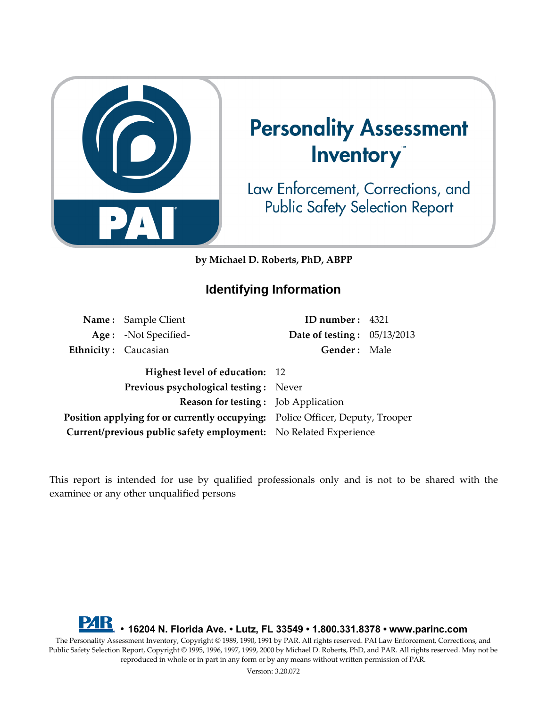

# **Personality Assessment** Inventory

Law Enforcement, Corrections, and **Public Safety Selection Report** 

**by Michael D. Roberts, PhD, ABPP**

# **Identifying Information**

|                      | Name: Sample Client                                                           | ID number: 4321                    |  |
|----------------------|-------------------------------------------------------------------------------|------------------------------------|--|
|                      | Age: -Not Specified-                                                          | <b>Date of testing:</b> 05/13/2013 |  |
| Ethnicity: Caucasian |                                                                               | Gender: Male                       |  |
|                      | Highest level of education: 12                                                |                                    |  |
|                      | <b>Previous psychological testing:</b> Never                                  |                                    |  |
|                      | <b>Reason for testing:</b> Job Application                                    |                                    |  |
|                      | Position applying for or currently occupying: Police Officer, Deputy, Trooper |                                    |  |
|                      | Current/previous public safety employment: No Related Experience              |                                    |  |

This report is intended for use by qualified professionals only and is not to be shared with the examinee or any other unqualified persons

**• 16204 N. Florida Ave. • Lutz, FL 33549 • 1.800.331.8378 • www.parinc.com** The Personality Assessment Inventory, Copyright © 1989, 1990, 1991 by PAR. All rights reserved. PAI Law Enforcement, Corrections, and Public Safety Selection Report, Copyright © 1995, 1996, 1997, 1999, 2000 by Michael D. Roberts, PhD, and PAR. All rights reserved. May not be reproduced in whole or in part in any form or by any means without written permission of PAR.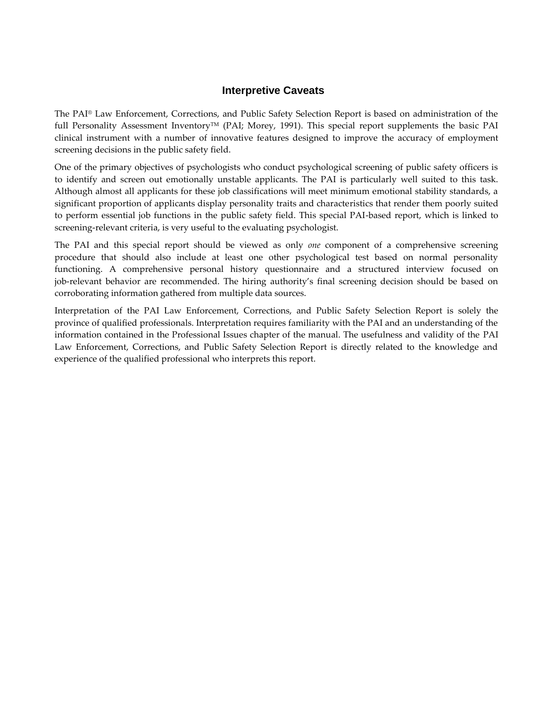### **Interpretive Caveats**

The PAI® Law Enforcement, Corrections, and Public Safety Selection Report is based on administration of the full Personality Assessment Inventory<sup>TM</sup> (PAI; Morey, 1991). This special report supplements the basic PAI clinical instrument with a number of innovative features designed to improve the accuracy of employment screening decisions in the public safety field.

One of the primary objectives of psychologists who conduct psychological screening of public safety officers is to identify and screen out emotionally unstable applicants. The PAI is particularly well suited to this task. Although almost all applicants for these job classifications will meet minimum emotional stability standards, a significant proportion of applicants display personality traits and characteristics that render them poorly suited to perform essential job functions in the public safety field. This special PAI-based report, which is linked to screening-relevant criteria, is very useful to the evaluating psychologist.

The PAI and this special report should be viewed as only *one* component of a comprehensive screening procedure that should also include at least one other psychological test based on normal personality functioning. A comprehensive personal history questionnaire and a structured interview focused on job-relevant behavior are recommended. The hiring authority's final screening decision should be based on corroborating information gathered from multiple data sources.

Interpretation of the PAI Law Enforcement, Corrections, and Public Safety Selection Report is solely the province of qualified professionals. Interpretation requires familiarity with the PAI and an understanding of the information contained in the Professional Issues chapter of the manual. The usefulness and validity of the PAI Law Enforcement, Corrections, and Public Safety Selection Report is directly related to the knowledge and experience of the qualified professional who interprets this report.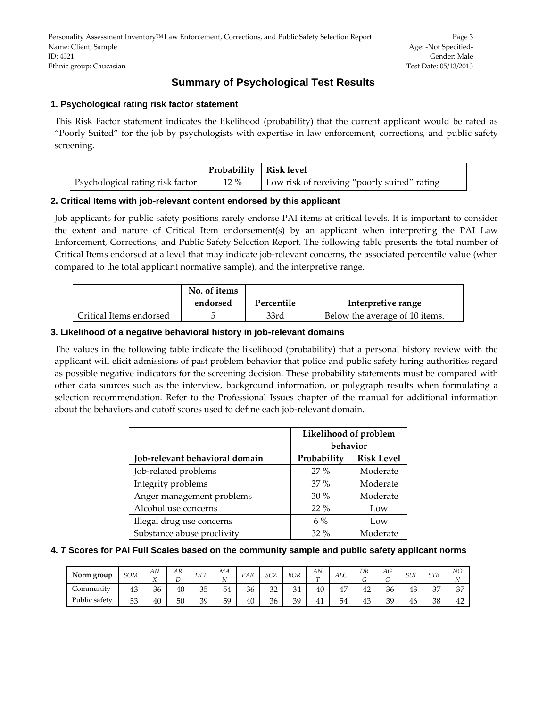# **Summary of Psychological Test Results**

#### **1. Psychological rating risk factor statement**

This Risk Factor statement indicates the likelihood (probability) that the current applicant would be rated as "Poorly Suited" for the job by psychologists with expertise in law enforcement, corrections, and public safety screening.

|                                  | Probability   Risk level |                                              |
|----------------------------------|--------------------------|----------------------------------------------|
| Psychological rating risk factor | $12\%$                   | Low risk of receiving "poorly suited" rating |

#### **2. Critical Items with job-relevant content endorsed by this applicant**

Job applicants for public safety positions rarely endorse PAI items at critical levels. It is important to consider the extent and nature of Critical Item endorsement(s) by an applicant when interpreting the PAI Law Enforcement, Corrections, and Public Safety Selection Report. The following table presents the total number of Critical Items endorsed at a level that may indicate job-relevant concerns, the associated percentile value (when compared to the total applicant normative sample), and the interpretive range.

|                         | No. of items |            |                                |
|-------------------------|--------------|------------|--------------------------------|
|                         | endorsed     | Percentile | Interpretive range             |
| Critical Items endorsed |              | 33rd       | Below the average of 10 items. |

#### **3. Likelihood of a negative behavioral history in job-relevant domains**

The values in the following table indicate the likelihood (probability) that a personal history review with the applicant will elicit admissions of past problem behavior that police and public safety hiring authorities regard as possible negative indicators for the screening decision. These probability statements must be compared with other data sources such as the interview, background information, or polygraph results when formulating a selection recommendation. Refer to the Professional Issues chapter of the manual for additional information about the behaviors and cutoff scores used to define each job-relevant domain.

|                                | Likelihood of problem<br>behavior |                   |  |  |  |  |
|--------------------------------|-----------------------------------|-------------------|--|--|--|--|
| Job-relevant behavioral domain | Probability                       | <b>Risk Level</b> |  |  |  |  |
| Job-related problems           | $27\%$                            | Moderate          |  |  |  |  |
| Integrity problems             | 37%                               | Moderate          |  |  |  |  |
| Anger management problems      | $30\%$                            | Moderate          |  |  |  |  |
| Alcohol use concerns           | $22\%$                            | Low               |  |  |  |  |
| Illegal drug use concerns      | $6\%$                             | Low               |  |  |  |  |
| Substance abuse proclivity     | $32\%$                            | Moderate          |  |  |  |  |

#### **4.** *T* **Scores for PAI Full Scales based on the community sample and public safety applicant norms**

| Norm group    | SOM | AN<br>τz<br>∡⊾ | AR | <b>DEP</b> | МA | PAR | SCZ | <b>BOR</b> | AN<br>$\mathbf{r}$ | <b>ALC</b> | DR<br>$\sqrt{2}$<br>$\sigma$ | AG<br>U | SUI | STR | NO<br>ΙN    |
|---------------|-----|----------------|----|------------|----|-----|-----|------------|--------------------|------------|------------------------------|---------|-----|-----|-------------|
| community     | 43  | 36             | 40 | 35         | 54 | 36  | 32  | 34         | 40                 | 47         | 42                           | 36      | 43  | 37  | $\sim$<br>ັ |
| Public safety | 53  | 40             | 50 | 39         | 59 | 40  | 36  | 39         | 41                 | 54         | 43                           | 39      | 46  | 38  | 42          |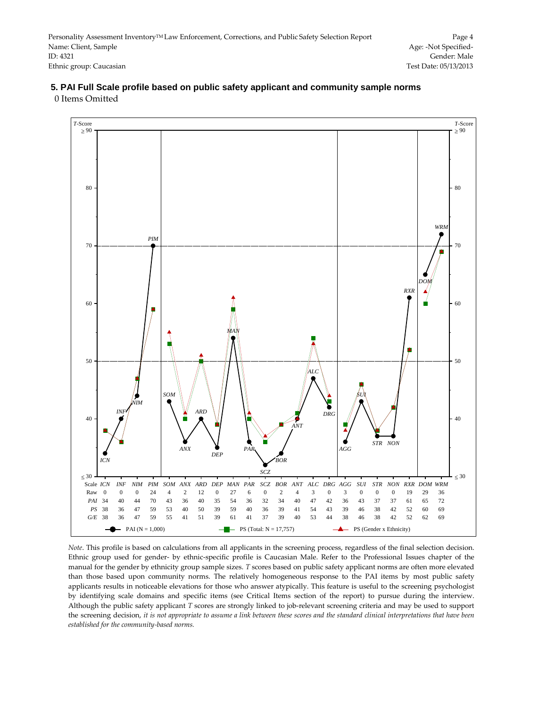#### $T-$ Score  $\geq 90$ *T*-Score  $\geq 90$ 80 80 *WRM PIM* 70 70 *DOM RXR* 60 60 *MAN* 50 50  $\overline{A}$ *SOM SUI NIM* ۲ *ARD INF DRG* 40 40 *ANT STR NON PAR ANX AGG DEP BOR ICN SCZ*  $\leq 30$  $<$  30 Scale ICN INF NIM PIM SOM ANX ARD DEP MAN PAR SCZ BOR ANT ALC DRG AGG SUI STR NON RXR DOM WRM Raw 0 0 0 24 4 2 12 0 27 6 0 2 4 3 0 3 0 0 0 19 29 36 *PAI* 34 40 44 70 43 36 40 35 54 36 32 34 40 47 42 36 43 37 37 61 65 72 *PS* 38 36 47 59 53 40 50 39 59 40 36 39 41 54 43 39 46 38 42 52 60 69 *G/E* 38 36 47 59 55 41 51 39 61 41 37 39 40 53 44 38 46 38 42 52 62 69 PAI (N = 1,000)  $-$  PS (Total: N = 17,757) PS (Gender x Ethnicity)

#### **5. PAI Full Scale profile based on public safety applicant and community sample norms**  0 Items Omitted

*Note*. This profile is based on calculations from all applicants in the screening process, regardless of the final selection decision. Ethnic group used for gender- by ethnic-specific profile is Caucasian Male. Refer to the Professional Issues chapter of the manual for the gender by ethnicity group sample sizes. *T* scores based on public safety applicant norms are often more elevated than those based upon community norms. The relatively homogeneous response to the PAI items by most public safety applicants results in noticeable elevations for those who answer atypically. This feature is useful to the screening psychologist by identifying scale domains and specific items (see Critical Items section of the report) to pursue during the interview. Although the public safety applicant *T* scores are strongly linked to job-relevant screening criteria and may be used to support the screening decision, *it is not appropriate to assume a link between these scores and the standard clinical interpretations that have been established for the community-based norms.*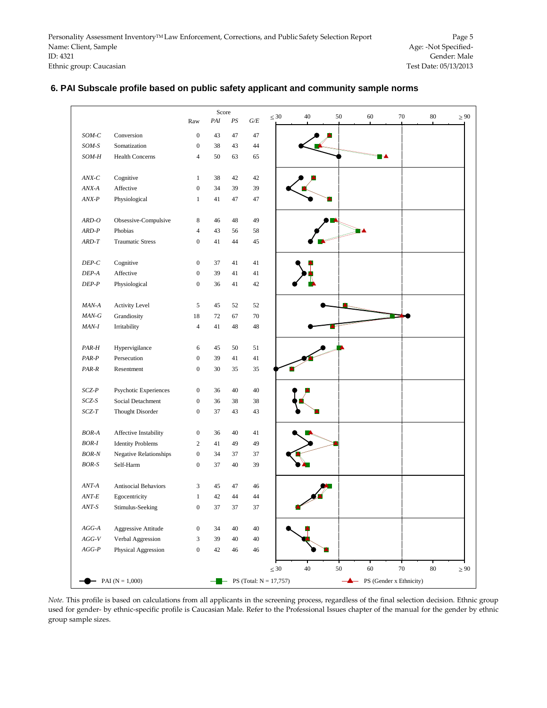# 30 40 50 60 70 80  $\geq 90$ 30 40 50 60 70 80  $\geq 90$ Score Raw *PAI PS G/E SOM-C* Conversion 0 43 47 47 *SOM-S* Somatization 0 38 43 44 *SOM-H* Health Concerns 4 50 63 65 *ANX-C* Cognitive 1 38 42 42 *ANX-A* Affective 0 34 39 39 *ANX-P* Physiological 1 41 47 47 *ARD-O* Obsessive-Compulsive 8 46 48 49 *ARD-P* Phobias 4 43 56 58 *ARD-T* Traumatic Stress 0 41 44 45 *DEP-C* Cognitive 0 37 41 41 *DEP-A* Affective 0 39 41 41 *DEP-P* Physiological 0 36 41 42 *MAN-A* Activity Level 5 45 52 52 *MAN-G* Grandiosity 18 72 67 70 *MAN-I* Irritability 4 41 48 48 *PAR-H* Hypervigilance 6 45 50 51 *PAR-P* Persecution 0 39 41 41 *PAR-R* Resentment 0 30 35 35 *SCZ-P* Psychotic Experiences 0 36 40 40 *SCZ-S* Social Detachment 0 36 38 38 *SCZ-T* Thought Disorder 0 37 43 43 *BOR-A* Affective Instability 0 36 40 41 *BOR-I* Identity Problems 2 41 49 49 *BOR-N* Negative Relationships 0 34 37 37 *BOR-S* Self-Harm 0 37 40 39 *ANT-A* Antisocial Behaviors 3 45 47 46 *ANT-E* Egocentricity 1 42 44 44 *ANT-S* Stimulus-Seeking 0 37 37 37 *AGG-A* Aggressive Attitude 0 34 40 40 *AGG-V* Verbal Aggression 3 39 40 40 *AGG-P* Physical Aggression 0 42 46 46  $-$  PAI (N = 1,000)  $-$  PS (Total: N = 17,757)  $-$  PS (Gender x Ethnicity)

#### **6. PAI Subscale profile based on public safety applicant and community sample norms**

*Note.* This profile is based on calculations from all applicants in the screening process, regardless of the final selection decision. Ethnic group used for gender- by ethnic-specific profile is Caucasian Male. Refer to the Professional Issues chapter of the manual for the gender by ethnic group sample sizes.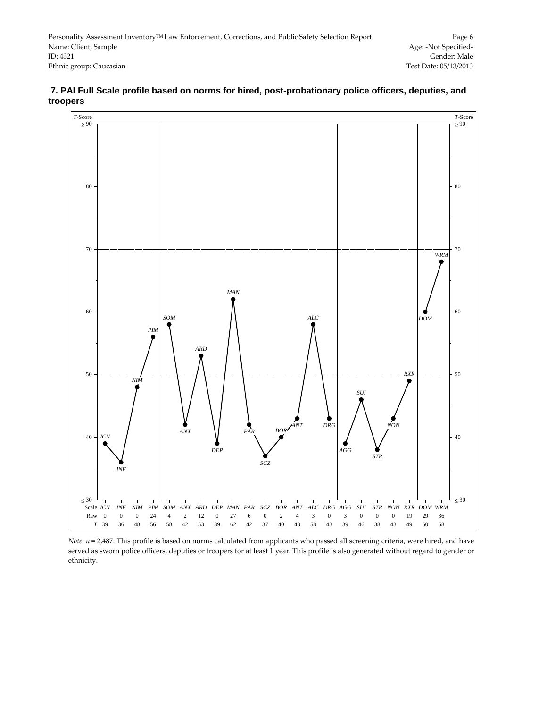

#### **7. PAI Full Scale profile based on norms for hired, post-probationary police officers, deputies, and troopers**

*Note.*  $n = 2,487$ . This profile is based on norms calculated from applicants who passed all screening criteria, were hired, and have served as sworn police officers, deputies or troopers for at least 1 year. This profile is also generated without regard to gender or ethnicity.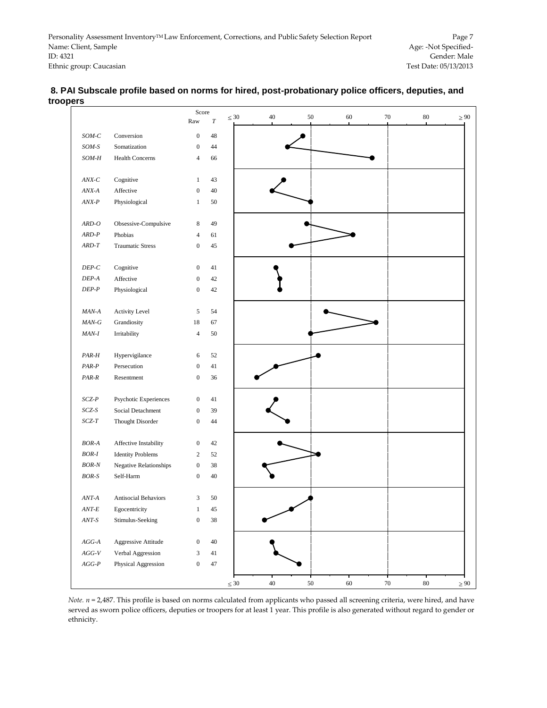|                                                           | Score<br>Raw     | $\cal T$ | $\leq 30$ | 40     | 50     | 60 | $70\,$ | 80     |  |
|-----------------------------------------------------------|------------------|----------|-----------|--------|--------|----|--------|--------|--|
| $SOM-C$<br>Conversion                                     | $\boldsymbol{0}$ | 48       |           |        |        |    |        |        |  |
| $SOM-S$<br>Somatization                                   | $\boldsymbol{0}$ | 44       |           |        |        |    |        |        |  |
| SOM-H<br><b>Health Concerns</b>                           | $\overline{4}$   | 66       |           |        |        |    |        |        |  |
| Cognitive<br>$\mathbb{A} N\!X\text{-}\mathbb{C}$          | $\mathbf{1}$     | 43       |           |        |        |    |        |        |  |
| $\ensuremath{\textit{ANX-}\xspace}\xspace$ A<br>Affective | $\boldsymbol{0}$ | 40       |           |        |        |    |        |        |  |
| $ANX-P$<br>Physiological                                  | $\mathbf{1}$     | 50       |           |        |        |    |        |        |  |
| Obsessive-Compulsive<br>$ARD-O$                           | $\,$ 8 $\,$      | 49       |           |        |        |    |        |        |  |
| $ARD-P$<br>Phobias                                        | $\overline{4}$   | 61       |           |        |        |    |        |        |  |
| $ARD-T$<br><b>Traumatic Stress</b>                        | $\boldsymbol{0}$ | 45       |           |        |        |    |        |        |  |
| $DEP\hbox{-} C$<br>Cognitive                              | $\boldsymbol{0}$ | 41       |           |        |        |    |        |        |  |
| Affective<br>$DEP\text{-}A$                               | $\boldsymbol{0}$ | 42       |           |        |        |    |        |        |  |
| $DEP-P$<br>Physiological                                  | $\boldsymbol{0}$ | 42       |           |        |        |    |        |        |  |
| Activity Level<br>$MAN-A$                                 | 5                | 54       |           |        |        |    |        |        |  |
| $MAN-G$<br>Grandiosity                                    | 18               | 67       |           |        |        |    |        |        |  |
| Irritability<br>MAN-I                                     | $\overline{4}$   | 50       |           |        |        |    |        |        |  |
| Hypervigilance<br>PAR-H                                   | 6                | 52       |           |        |        |    |        |        |  |
| $PAR-P$<br>Persecution                                    | $\boldsymbol{0}$ | 41       |           |        |        |    |        |        |  |
| $PAR-R$<br>Resentment                                     | $\boldsymbol{0}$ | 36       |           |        |        |    |        |        |  |
| $SCZ\text{-}P$<br>Psychotic Experiences                   | $\boldsymbol{0}$ | 41       |           |        |        |    |        |        |  |
| $SCZ\text{-}S$<br>Social Detachment                       | $\boldsymbol{0}$ | 39       |           |        |        |    |        |        |  |
| $SCZ\text{-}T$<br>Thought Disorder                        | $\boldsymbol{0}$ | 44       |           |        |        |    |        |        |  |
| $BOR-A$<br>Affective Instability                          | $\boldsymbol{0}$ | 42       |           |        |        |    |        |        |  |
| $BOR-I$<br><b>Identity Problems</b>                       | $\overline{c}$   | 52       |           |        |        |    |        |        |  |
| $\it BOR\mbox{-}N$<br>Negative Relationships              | $\boldsymbol{0}$ | 38       |           |        |        |    |        |        |  |
| $BOR-S$<br>Self-Harm                                      | $\boldsymbol{0}$ | 40       |           |        |        |    |        |        |  |
| Antisocial Behaviors<br>$ANT-A$                           | 3                | 50       |           |        |        |    |        |        |  |
| $ANT-E$<br>Egocentricity                                  | 1                | 45       |           |        |        |    |        |        |  |
| $ANT\text{-}S$<br>Stimulus-Seeking                        | $\boldsymbol{0}$ | $38\,$   |           |        |        |    |        |        |  |
| Aggressive Attitude<br>$AGG\textrm{-}A$                   | $\boldsymbol{0}$ | $40\,$   |           |        |        |    |        |        |  |
| $AGG\text{-}V$<br>Verbal Aggression                       | 3                | $41\,$   |           |        |        |    |        |        |  |
| $AGG\text{-}P$<br>Physical Aggression                     | $\boldsymbol{0}$ | $47\,$   |           |        |        |    |        |        |  |
|                                                           |                  |          | $\leq 30$ | $40\,$ | $50\,$ | 60 | $70\,$ | $80\,$ |  |

#### **8. PAI Subscale profile based on norms for hired, post-probationary police officers, deputies, and troopers**

*Note. n* = 2,487. This profile is based on norms calculated from applicants who passed all screening criteria, were hired, and have served as sworn police officers, deputies or troopers for at least 1 year. This profile is also generated without regard to gender or ethnicity.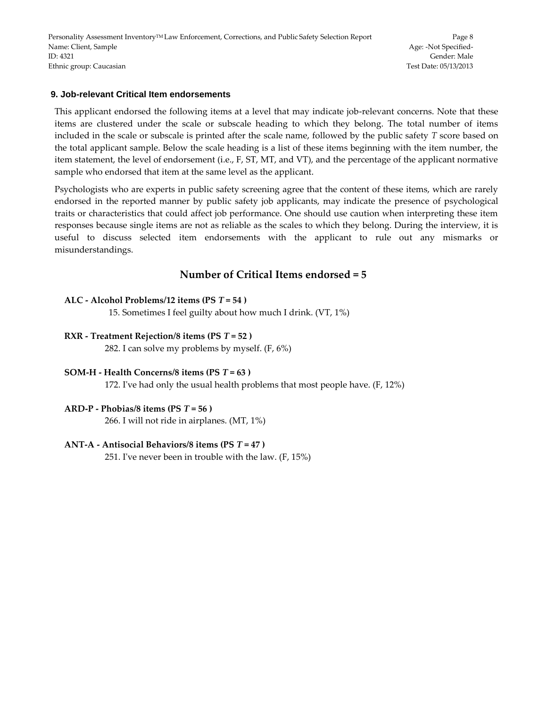Personality Assessment Inventory™ Law Enforcement, Corrections, and Public Safety Selection Report Page 8 Name: Client, Sample Age: -Not Specified-ID: 4321 Gender: Male Ethnic group: Caucasian Test Date: 05/13/2013

#### **9. Job-relevant Critical Item endorsements**

This applicant endorsed the following items at a level that may indicate job-relevant concerns. Note that these items are clustered under the scale or subscale heading to which they belong. The total number of items included in the scale or subscale is printed after the scale name, followed by the public safety *T* score based on the total applicant sample. Below the scale heading is a list of these items beginning with the item number, the item statement, the level of endorsement (i.e., F, ST, MT, and VT), and the percentage of the applicant normative sample who endorsed that item at the same level as the applicant.

Psychologists who are experts in public safety screening agree that the content of these items, which are rarely endorsed in the reported manner by public safety job applicants, may indicate the presence of psychological traits or characteristics that could affect job performance. One should use caution when interpreting these item responses because single items are not as reliable as the scales to which they belong. During the interview, it is useful to discuss selected item endorsements with the applicant to rule out any mismarks or misunderstandings.

# **Number of Critical Items endorsed = 5**

#### **ALC - Alcohol Problems/12 items (PS** *T* **= 54 )**

15. Sometimes I feel guilty about how much I drink. (VT, 1%)

#### **RXR - Treatment Rejection/8 items (PS** *T* **= 52 )**

282. I can solve my problems by myself. (F, 6%)

#### **SOM-H - Health Concerns/8 items (PS** *T* **= 63 )**

172. I've had only the usual health problems that most people have. (F, 12%)

#### **ARD-P - Phobias/8 items (PS** *T* **= 56 )**

266. I will not ride in airplanes. (MT, 1%)

#### **ANT-A - Antisocial Behaviors/8 items (PS** *T* **= 47 )**

251. I've never been in trouble with the law. (F, 15%)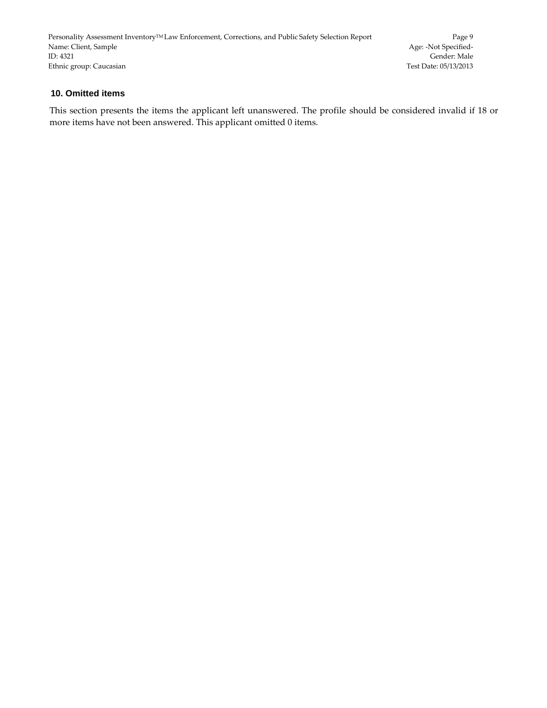Personality Assessment Inventory<sup>TM</sup> Law Enforcement, Corrections, and Public Safety Selection Report Page 9<br>Name: Client, Sample *Page* 1966 Name: Client, Sample ID: 4321 Gender: Male Ethnic group: Caucasian Test Date: 05/13/2013

#### **10. Omitted items**

This section presents the items the applicant left unanswered. The profile should be considered invalid if 18 or more items have not been answered. This applicant omitted 0 items.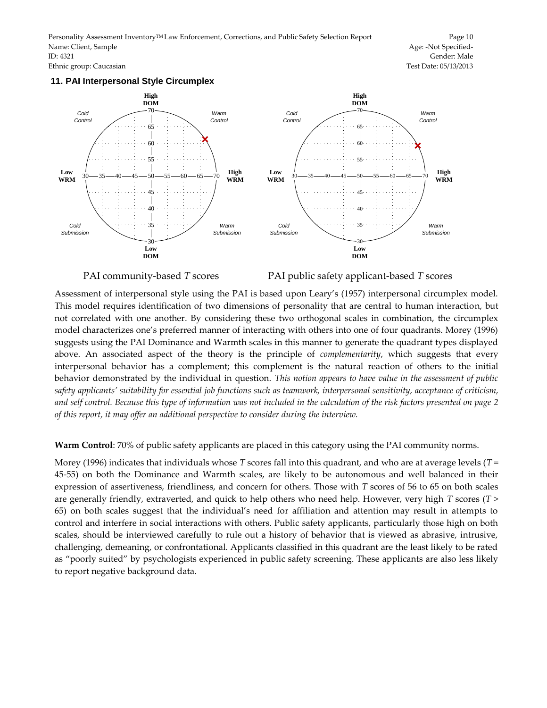Personality Assessment Inventory<sup>TM</sup> Law Enforcement, Corrections, and Public Safety Selection Report Page 10 Name: Client, Sample Age: -Not Specified-ID: 4321 Gender: Male Ethnic group: Caucasian Test Date: 05/13/2013

#### **11. PAI Interpersonal Style Circumplex**



PAI community-based *T* scores PAI public safety applicant-based *T* scores

Assessment of interpersonal style using the PAI is based upon Leary's (1957) interpersonal circumplex model. This model requires identification of two dimensions of personality that are central to human interaction, but not correlated with one another. By considering these two orthogonal scales in combination, the circumplex model characterizes one's preferred manner of interacting with others into one of four quadrants. Morey (1996) suggests using the PAI Dominance and Warmth scales in this manner to generate the quadrant types displayed above. An associated aspect of the theory is the principle of *complementarity*, which suggests that every interpersonal behavior has a complement; this complement is the natural reaction of others to the initial behavior demonstrated by the individual in question. *This notion appears to have value in the assessment of public safety applicants' suitability for essential job functions such as teamwork, interpersonal sensitivity, acceptance of criticism, and self control. Because this type of information was not included in the calculation of the risk factors presented on page 2 of this report, it may offer an additional perspective to consider during the interview.*

**Warm Control**: 70% of public safety applicants are placed in this category using the PAI community norms.

Morey (1996) indicates that individuals whose *T* scores fall into this quadrant, and who are at average levels (*T* = 45-55) on both the Dominance and Warmth scales, are likely to be autonomous and well balanced in their expression of assertiveness, friendliness, and concern for others. Those with *T* scores of 56 to 65 on both scales are generally friendly, extraverted, and quick to help others who need help. However, very high *T* scores (*T* > 65) on both scales suggest that the individual's need for affiliation and attention may result in attempts to control and interfere in social interactions with others. Public safety applicants, particularly those high on both scales, should be interviewed carefully to rule out a history of behavior that is viewed as abrasive, intrusive, challenging, demeaning, or confrontational. Applicants classified in this quadrant are the least likely to be rated as "poorly suited" by psychologists experienced in public safety screening. These applicants are also less likely to report negative background data.